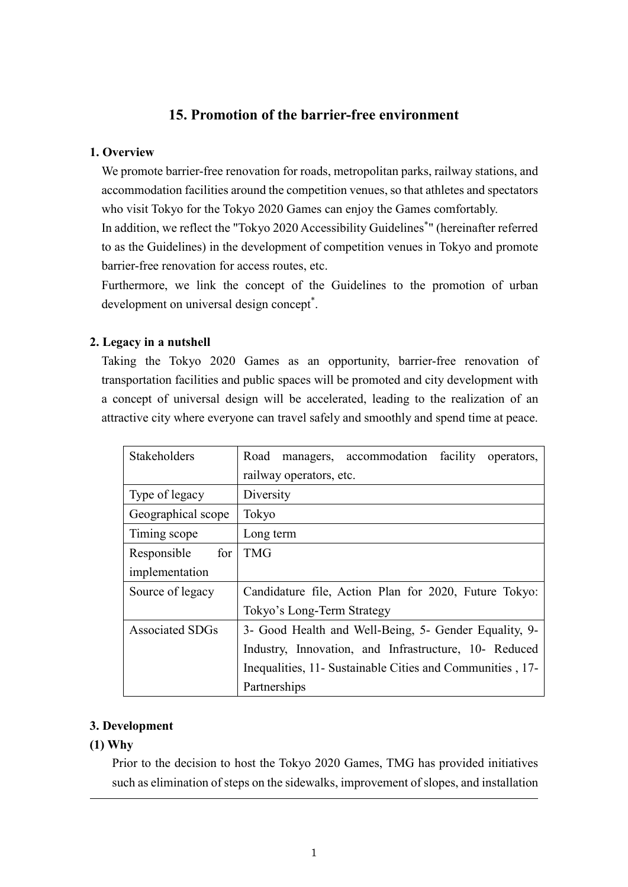### **15. Promotion of the barrier-free environment**

#### **1. Overview**

We promote barrier-free renovation for roads, metropolitan parks, railway stations, and accommodation facilities around the competition venues, so that athletes and spectators who visit Tokyo for the Tokyo 2020 Games can enjoy the Games comfortably. In addition, we reflect the "Tokyo 2020 Accessibility Guidelines\* " (hereinafter referred to as the Guidelines) in the development of competition venues in Tokyo and promote barrier-free renovation for access routes, etc.

Furthermore, we link the concept of the Guidelines to the promotion of urban development on universal design concept<sup>\*</sup>.

#### **2. Legacy in a nutshell**

Taking the Tokyo 2020 Games as an opportunity, barrier-free renovation of transportation facilities and public spaces will be promoted and city development with a concept of universal design will be accelerated, leading to the realization of an attractive city where everyone can travel safely and smoothly and spend time at peace.

| Stakeholders           | managers, accommodation<br>facility<br>Road<br>operators, |
|------------------------|-----------------------------------------------------------|
|                        | railway operators, etc.                                   |
| Type of legacy         | Diversity                                                 |
| Geographical scope     | Tokyo                                                     |
| Timing scope           | Long term                                                 |
| for<br>Responsible     | <b>TMG</b>                                                |
| implementation         |                                                           |
| Source of legacy       | Candidature file, Action Plan for 2020, Future Tokyo:     |
|                        | Tokyo's Long-Term Strategy                                |
| <b>Associated SDGs</b> | 3- Good Health and Well-Being, 5- Gender Equality, 9-     |
|                        | Industry, Innovation, and Infrastructure, 10- Reduced     |
|                        | Inequalities, 11- Sustainable Cities and Communities, 17- |
|                        | Partnerships                                              |

#### **3. Development**

#### **(1) Why**

Prior to the decision to host the Tokyo 2020 Games, TMG has provided initiatives such as elimination of steps on the sidewalks, improvement of slopes, and installation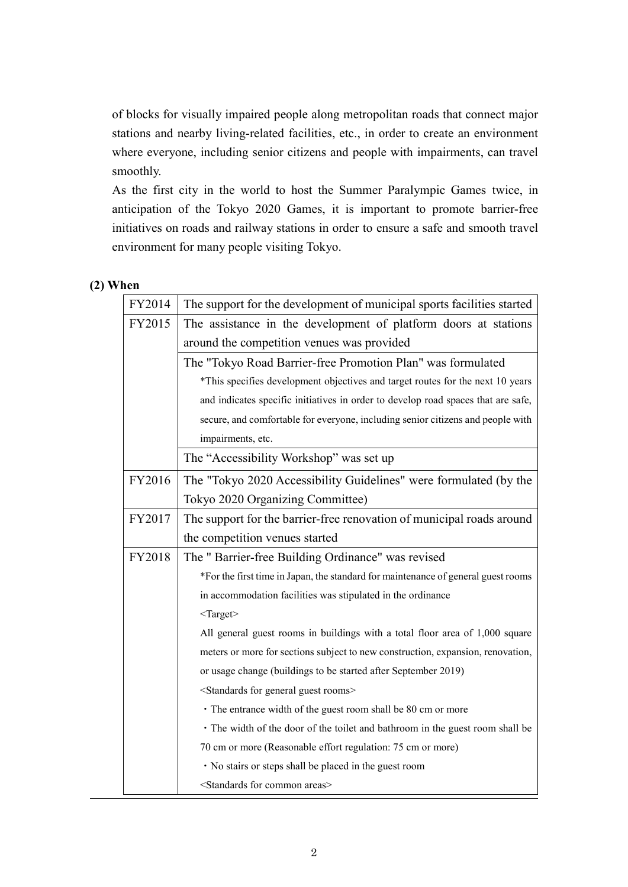of blocks for visually impaired people along metropolitan roads that connect major stations and nearby living-related facilities, etc., in order to create an environment where everyone, including senior citizens and people with impairments, can travel smoothly.

As the first city in the world to host the Summer Paralympic Games twice, in anticipation of the Tokyo 2020 Games, it is important to promote barrier-free initiatives on roads and railway stations in order to ensure a safe and smooth travel environment for many people visiting Tokyo.

#### **(2) When**

| FY2014 | The support for the development of municipal sports facilities started            |  |
|--------|-----------------------------------------------------------------------------------|--|
| FY2015 | The assistance in the development of platform doors at stations                   |  |
|        | around the competition venues was provided                                        |  |
|        | The "Tokyo Road Barrier-free Promotion Plan" was formulated                       |  |
|        | *This specifies development objectives and target routes for the next 10 years    |  |
|        | and indicates specific initiatives in order to develop road spaces that are safe, |  |
|        | secure, and comfortable for everyone, including senior citizens and people with   |  |
|        | impairments, etc.                                                                 |  |
|        | The "Accessibility Workshop" was set up                                           |  |
| FY2016 | The "Tokyo 2020 Accessibility Guidelines" were formulated (by the                 |  |
|        | Tokyo 2020 Organizing Committee)                                                  |  |
| FY2017 | The support for the barrier-free renovation of municipal roads around             |  |
|        | the competition venues started                                                    |  |
| FY2018 | The " Barrier-free Building Ordinance" was revised                                |  |
|        | *For the first time in Japan, the standard for maintenance of general guest rooms |  |
|        | in accommodation facilities was stipulated in the ordinance                       |  |
|        | $<$ Target $>$                                                                    |  |
|        | All general guest rooms in buildings with a total floor area of 1,000 square      |  |
|        | meters or more for sections subject to new construction, expansion, renovation,   |  |
|        | or usage change (buildings to be started after September 2019)                    |  |
|        | <standards for="" general="" guest="" rooms=""></standards>                       |  |
|        | • The entrance width of the guest room shall be 80 cm or more                     |  |
|        | • The width of the door of the toilet and bathroom in the guest room shall be     |  |
|        | 70 cm or more (Reasonable effort regulation: 75 cm or more)                       |  |
|        | · No stairs or steps shall be placed in the guest room                            |  |
|        | <standards areas="" common="" for=""></standards>                                 |  |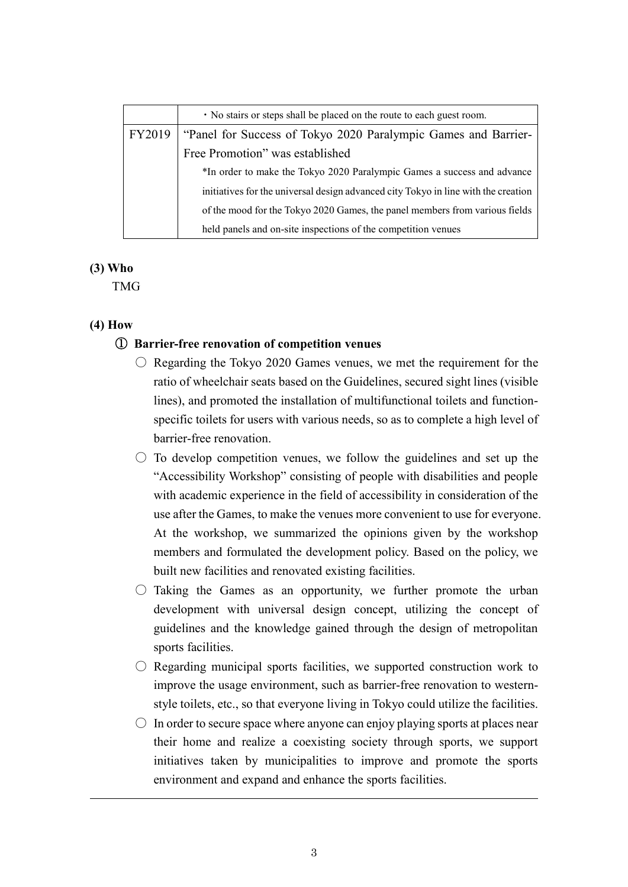|        | • No stairs or steps shall be placed on the route to each guest room.              |
|--------|------------------------------------------------------------------------------------|
| FY2019 | "Panel for Success of Tokyo 2020 Paralympic Games and Barrier-                     |
|        | Free Promotion" was established                                                    |
|        | *In order to make the Tokyo 2020 Paralympic Games a success and advance            |
|        | initiatives for the universal design advanced city Tokyo in line with the creation |
|        | of the mood for the Tokyo 2020 Games, the panel members from various fields        |
|        | held panels and on-site inspections of the competition venues                      |

#### **(3) Who**

TMG

#### **(4) How**

#### ① **Barrier-free renovation of competition venues**

- $\circ$  Regarding the Tokyo 2020 Games venues, we met the requirement for the ratio of wheelchair seats based on the Guidelines, secured sight lines (visible lines), and promoted the installation of multifunctional toilets and functionspecific toilets for users with various needs, so as to complete a high level of barrier-free renovation.
- $\circ$  To develop competition venues, we follow the guidelines and set up the "Accessibility Workshop" consisting of people with disabilities and people with academic experience in the field of accessibility in consideration of the use after the Games, to make the venues more convenient to use for everyone. At the workshop, we summarized the opinions given by the workshop members and formulated the development policy. Based on the policy, we built new facilities and renovated existing facilities.
- $\circ$  Taking the Games as an opportunity, we further promote the urban development with universal design concept, utilizing the concept of guidelines and the knowledge gained through the design of metropolitan sports facilities.
- $\bigcirc$  Regarding municipal sports facilities, we supported construction work to improve the usage environment, such as barrier-free renovation to westernstyle toilets, etc., so that everyone living in Tokyo could utilize the facilities.
- $\circ$  In order to secure space where anyone can enjoy playing sports at places near their home and realize a coexisting society through sports, we support initiatives taken by municipalities to improve and promote the sports environment and expand and enhance the sports facilities.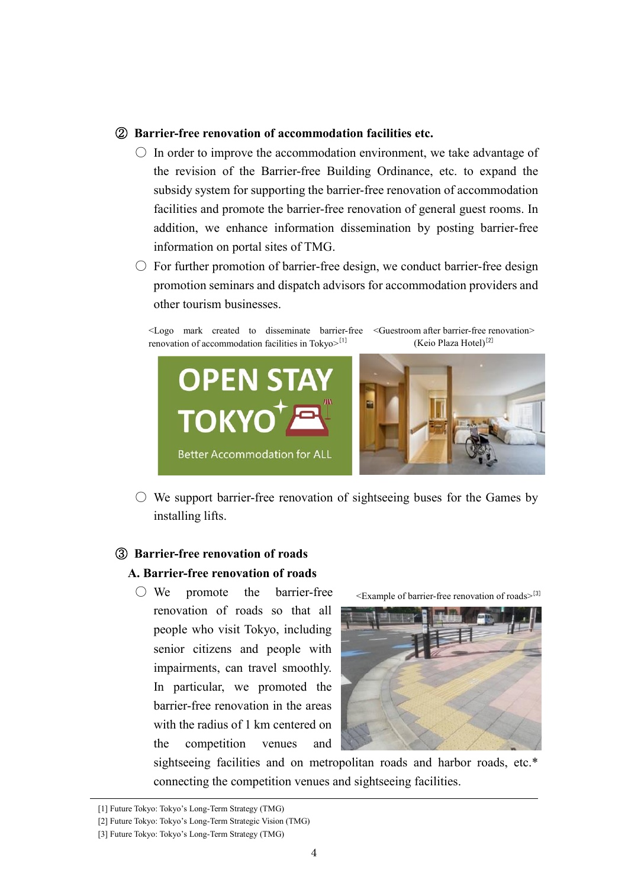#### ② **Barrier-free renovation of accommodation facilities etc.**

- $\circ$  In order to improve the accommodation environment, we take advantage of the revision of the Barrier-free Building Ordinance, etc. to expand the subsidy system for supporting the barrier-free renovation of accommodation facilities and promote the barrier-free renovation of general guest rooms. In addition, we enhance information dissemination by posting barrier-free information on portal sites of TMG.
- $\circ$  For further promotion of barrier-free design, we conduct barrier-free design promotion seminars and dispatch advisors for accommodation providers and other tourism businesses.

<Logo mark created to disseminate barrier-free <Guestroom after barrier-free renovation> renovation of accommodation facilities in Tokyo>[1] (Keio Plaza Hotel)<sup>[2]</sup>



 $\circ$  We support barrier-free renovation of sightseeing buses for the Games by installing lifts.

## ③ **Barrier-free renovation of roads A. Barrier-free renovation of roads**

○ We promote the barrier-free renovation of roads so that all people who visit Tokyo, including senior citizens and people with impairments, can travel smoothly. In particular, we promoted the barrier-free renovation in the areas with the radius of 1 km centered on the competition venues and

<Example of barrier-free renovation of roads> [3]



sightseeing facilities and on metropolitan roads and harbor roads, etc.\* connecting the competition venues and sightseeing facilities.

<sup>[1]</sup> Future Tokyo: Tokyo's Long-Term Strategy (TMG)

<sup>[2]</sup> Future Tokyo: Tokyo's Long-Term Strategic Vision (TMG)

<sup>[3]</sup> Future Tokyo: Tokyo's Long-Term Strategy (TMG)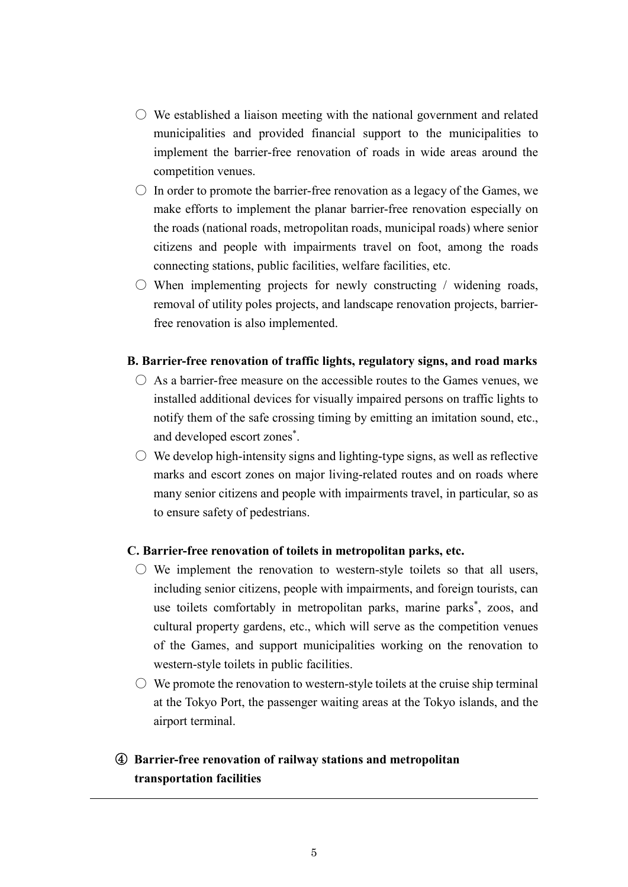- $\circlearrowright$  We established a liaison meeting with the national government and related municipalities and provided financial support to the municipalities to implement the barrier-free renovation of roads in wide areas around the competition venues.
- $\circ$  In order to promote the barrier-free renovation as a legacy of the Games, we make efforts to implement the planar barrier-free renovation especially on the roads (national roads, metropolitan roads, municipal roads) where senior citizens and people with impairments travel on foot, among the roads connecting stations, public facilities, welfare facilities, etc.
- $\circ$  When implementing projects for newly constructing / widening roads, removal of utility poles projects, and landscape renovation projects, barrierfree renovation is also implemented.

#### **B. Barrier-free renovation of traffic lights, regulatory signs, and road marks**

- $\bigcirc$  As a barrier-free measure on the accessible routes to the Games venues, we installed additional devices for visually impaired persons on traffic lights to notify them of the safe crossing timing by emitting an imitation sound, etc., and developed escort zones \* .
- $\circ$  We develop high-intensity signs and lighting-type signs, as well as reflective marks and escort zones on major living-related routes and on roads where many senior citizens and people with impairments travel, in particular, so as to ensure safety of pedestrians.

#### **C. Barrier-free renovation of toilets in metropolitan parks, etc.**

- $\bigcirc$  We implement the renovation to western-style toilets so that all users, including senior citizens, people with impairments, and foreign tourists, can use toilets comfortably in metropolitan parks, marine parks\* , zoos, and cultural property gardens, etc., which will serve as the competition venues of the Games, and support municipalities working on the renovation to western-style toilets in public facilities.
- $\circlearrowright$  We promote the renovation to western-style toilets at the cruise ship terminal at the Tokyo Port, the passenger waiting areas at the Tokyo islands, and the airport terminal.

## ④ **Barrier-free renovation of railway stations and metropolitan transportation facilities**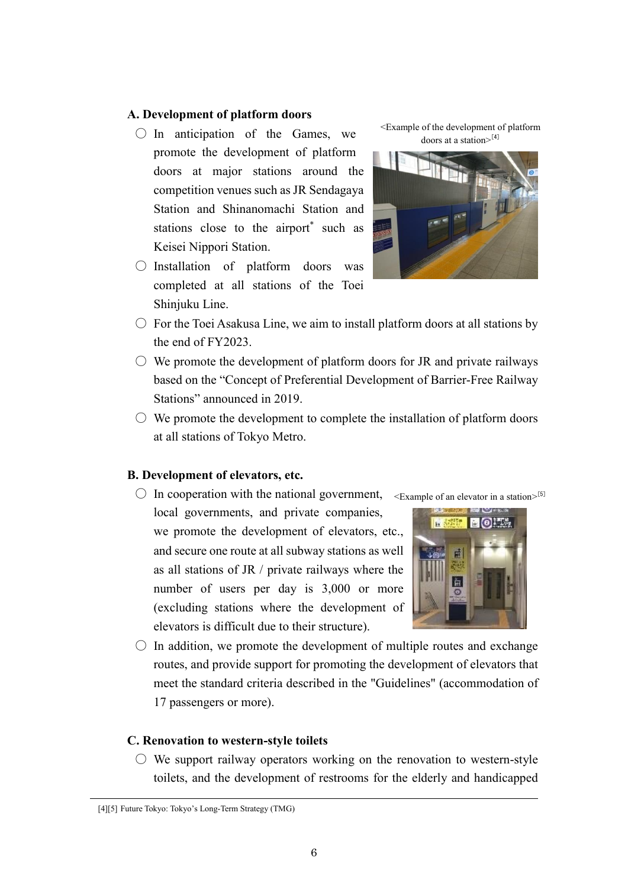#### **A. Development of platform doors**

- $\bigcirc$  In anticipation of the Games, we promote the development of platform doors at major stations around the competition venues such as JR Sendagaya Station and Shinanomachi Station and stations close to the airport<sup>\*</sup> such as Keisei Nippori Station.
- Installation of platform doors was completed at all stations of the Toei Shinjuku Line.

<Example of the development of platform doors at a station> [4]



- $\circ$  For the Toei Asakusa Line, we aim to install platform doors at all stations by the end of FY2023.
- $\circlearrowright$  We promote the development of platform doors for JR and private railways based on the "Concept of Preferential Development of Barrier-Free Railway Stations" announced in 2019.
- $\circlearrowright$  We promote the development to complete the installation of platform doors at all stations of Tokyo Metro.

#### **B. Development of elevators, etc.**

 $\bigcirc$  In cooperation with the national government, <Example of an elevator in a station>[5]

local governments, and private companies, we promote the development of elevators, etc., and secure one route at all subway stations as well as all stations of JR / private railways where the number of users per day is 3,000 or more (excluding stations where the development of elevators is difficult due to their structure).



 $\circ$  In addition, we promote the development of multiple routes and exchange routes, and provide support for promoting the development of elevators that meet the standard criteria described in the "Guidelines" (accommodation of 17 passengers or more).

#### **C. Renovation to western-style toilets**

 $\circlearrowright$  We support railway operators working on the renovation to western-style toilets, and the development of restrooms for the elderly and handicapped

<sup>[4][5]</sup> Future Tokyo: Tokyo's Long-Term Strategy (TMG)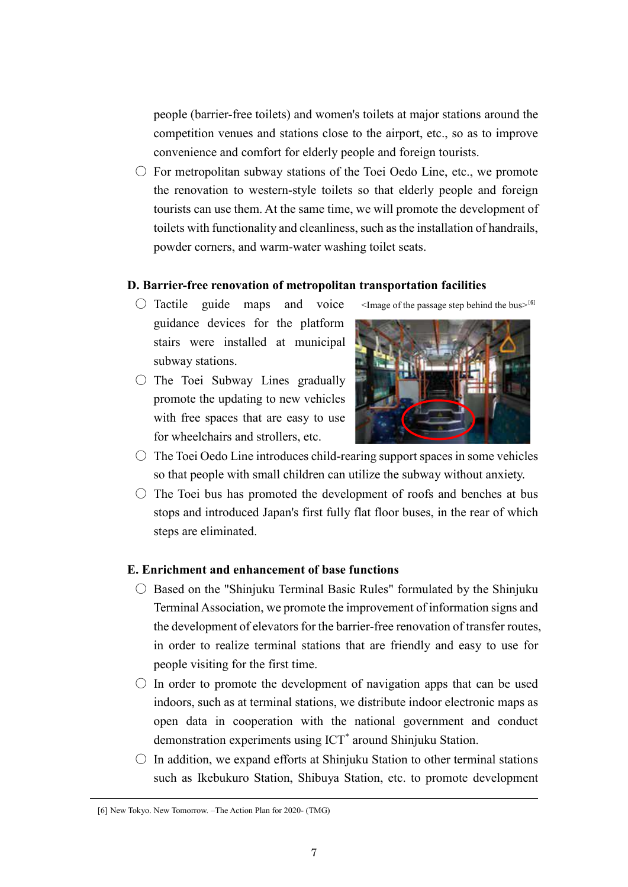people (barrier-free toilets) and women's toilets at major stations around the competition venues and stations close to the airport, etc., so as to improve convenience and comfort for elderly people and foreign tourists.

 $\circlearrowright$  For metropolitan subway stations of the Toei Oedo Line, etc., we promote the renovation to western-style toilets so that elderly people and foreign tourists can use them. At the same time, we will promote the development of toilets with functionality and cleanliness, such as the installation of handrails, powder corners, and warm-water washing toilet seats.

#### **D. Barrier-free renovation of metropolitan transportation facilities**

- $\bigcirc$  Tactile guide maps and voice guidance devices for the platform stairs were installed at municipal subway stations.
- $\bigcirc$  The Toei Subway Lines gradually promote the updating to new vehicles with free spaces that are easy to use for wheelchairs and strollers, etc.



 $\leq$ Image of the passage step behind the bus $>$ [6]

- $\bigcirc$  The Toei Oedo Line introduces child-rearing support spaces in some vehicles so that people with small children can utilize the subway without anxiety.
- $\circ$  The Toei bus has promoted the development of roofs and benches at bus stops and introduced Japan's first fully flat floor buses, in the rear of which steps are eliminated.

#### **E. Enrichment and enhancement of base functions**

- $\circ$  Based on the "Shinjuku Terminal Basic Rules" formulated by the Shinjuku Terminal Association, we promote the improvement of information signs and the development of elevators for the barrier-free renovation of transfer routes, in order to realize terminal stations that are friendly and easy to use for people visiting for the first time.
- $\circ$  In order to promote the development of navigation apps that can be used indoors, such as at terminal stations, we distribute indoor electronic maps as open data in cooperation with the national government and conduct demonstration experiments using ICT\* around Shinjuku Station.
- $\circ$  In addition, we expand efforts at Shinjuku Station to other terminal stations such as Ikebukuro Station, Shibuya Station, etc. to promote development

<sup>[6]</sup> New Tokyo. New Tomorrow. –The Action Plan for 2020- (TMG)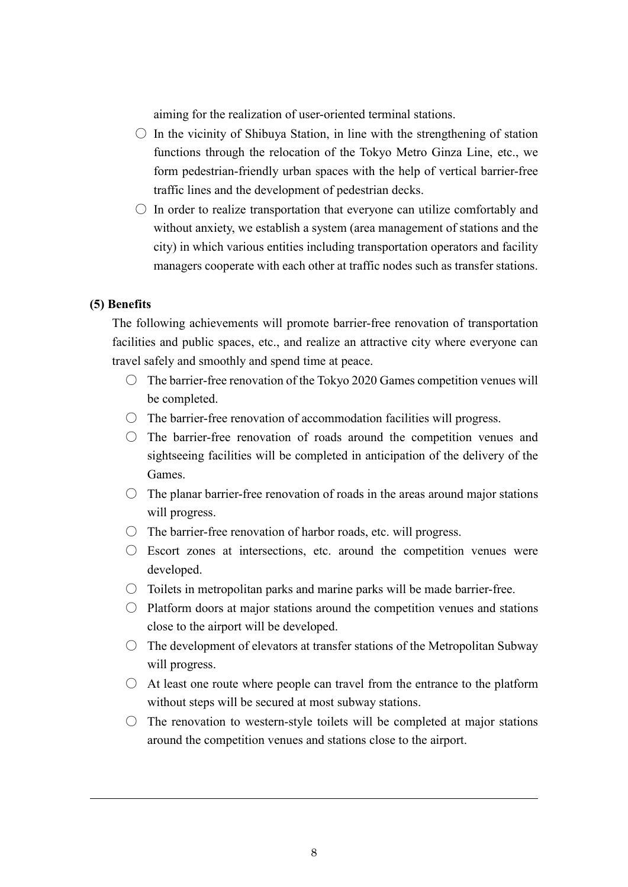aiming for the realization of user-oriented terminal stations.

- $\circ$  In the vicinity of Shibuya Station, in line with the strengthening of station functions through the relocation of the Tokyo Metro Ginza Line, etc., we form pedestrian-friendly urban spaces with the help of vertical barrier-free traffic lines and the development of pedestrian decks.
- $\circ$  In order to realize transportation that everyone can utilize comfortably and without anxiety, we establish a system (area management of stations and the city) in which various entities including transportation operators and facility managers cooperate with each other at traffic nodes such as transfer stations.

#### **(5) Benefits**

The following achievements will promote barrier-free renovation of transportation facilities and public spaces, etc., and realize an attractive city where everyone can travel safely and smoothly and spend time at peace.

- $\circ$  The barrier-free renovation of the Tokyo 2020 Games competition venues will be completed.
- $\circ$  The barrier-free renovation of accommodation facilities will progress.
- $\circ$  The barrier-free renovation of roads around the competition venues and sightseeing facilities will be completed in anticipation of the delivery of the Games.
- $\circ$  The planar barrier-free renovation of roads in the areas around major stations will progress.
- $\circ$  The barrier-free renovation of harbor roads, etc. will progress.
- $\circ$  Escort zones at intersections, etc. around the competition venues were developed.
- $\circ$  Toilets in metropolitan parks and marine parks will be made barrier-free.
- $\circ$  Platform doors at major stations around the competition venues and stations close to the airport will be developed.
- $\circ$  The development of elevators at transfer stations of the Metropolitan Subway will progress.
- $\bigcirc$  At least one route where people can travel from the entrance to the platform without steps will be secured at most subway stations.
- $\circ$  The renovation to western-style toilets will be completed at major stations around the competition venues and stations close to the airport.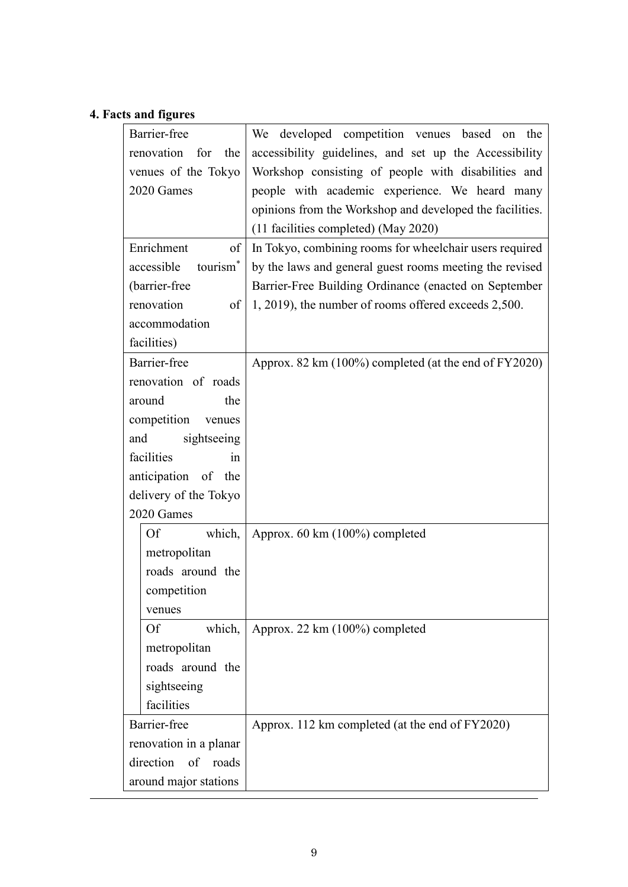# **4. Facts and figures**

| Barrier-free                       | We developed competition venues based on the             |
|------------------------------------|----------------------------------------------------------|
| renovation<br>for<br>the           | accessibility guidelines, and set up the Accessibility   |
| venues of the Tokyo                | Workshop consisting of people with disabilities and      |
| 2020 Games                         | people with academic experience. We heard many           |
|                                    | opinions from the Workshop and developed the facilities. |
|                                    | (11 facilities completed) (May 2020)                     |
| Enrichment<br>of                   | In Tokyo, combining rooms for wheelchair users required  |
| accessible<br>tourism <sup>*</sup> | by the laws and general guest rooms meeting the revised  |
| (barrier-free                      | Barrier-Free Building Ordinance (enacted on September    |
| renovation<br>of                   | 1, 2019), the number of rooms offered exceeds 2,500.     |
| accommodation                      |                                                          |
| facilities)                        |                                                          |
| Barrier-free                       | Approx. 82 km (100%) completed (at the end of FY2020)    |
| renovation of roads                |                                                          |
| around<br>the                      |                                                          |
| competition venues                 |                                                          |
| sightseeing<br>and                 |                                                          |
| facilities<br>in.                  |                                                          |
| anticipation of the                |                                                          |
| delivery of the Tokyo              |                                                          |
| 2020 Games                         |                                                          |
| <b>Of</b><br>which,                | Approx. 60 km (100%) completed                           |
| metropolitan                       |                                                          |
| roads around the                   |                                                          |
| competition                        |                                                          |
| venues                             |                                                          |
| which,<br>Of                       | Approx. 22 km (100%) completed                           |
| metropolitan                       |                                                          |
| roads around the                   |                                                          |
| sightseeing                        |                                                          |
| facilities                         |                                                          |
| Barrier-free                       | Approx. 112 km completed (at the end of FY2020)          |
| renovation in a planar             |                                                          |
| direction of roads                 |                                                          |
| around major stations              |                                                          |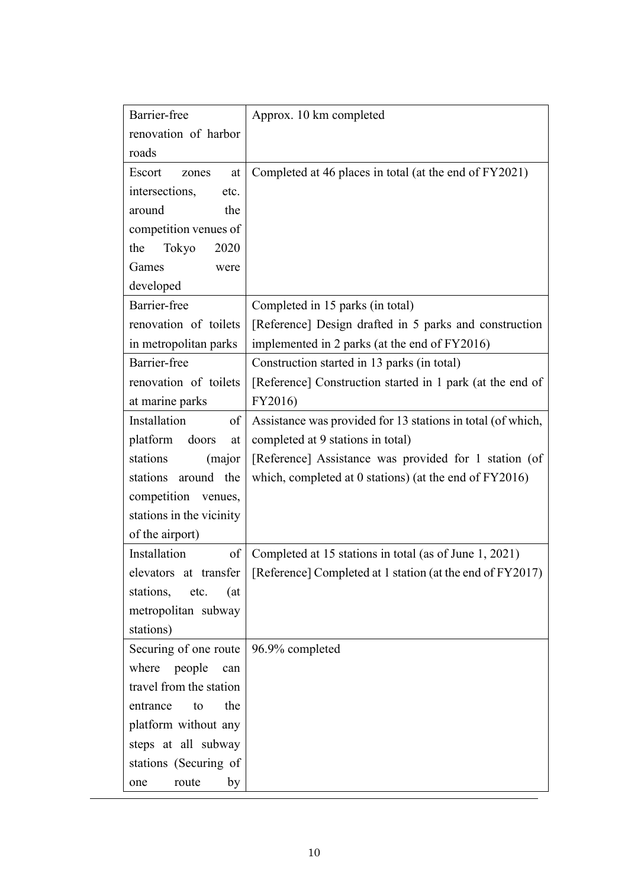| Barrier-free              | Approx. 10 km completed                                     |
|---------------------------|-------------------------------------------------------------|
| renovation of harbor      |                                                             |
| roads                     |                                                             |
| Escort<br>at<br>zones     | Completed at 46 places in total (at the end of FY2021)      |
| intersections,<br>etc.    |                                                             |
| around<br>the             |                                                             |
| competition venues of     |                                                             |
| Tokyo<br>2020<br>the      |                                                             |
| Games<br>were             |                                                             |
| developed                 |                                                             |
| Barrier-free              | Completed in 15 parks (in total)                            |
| renovation of toilets     | [Reference] Design drafted in 5 parks and construction      |
| in metropolitan parks     | implemented in 2 parks (at the end of FY2016)               |
| Barrier-free              | Construction started in 13 parks (in total)                 |
| renovation of toilets     | [Reference] Construction started in 1 park (at the end of   |
| at marine parks           | FY2016)                                                     |
| Installation<br>of        | Assistance was provided for 13 stations in total (of which, |
| platform<br>doors<br>at   | completed at 9 stations in total)                           |
| stations<br>(major        | [Reference] Assistance was provided for 1 station (of       |
| around the<br>stations    | which, completed at $0$ stations) (at the end of $FY2016$ ) |
| competition venues,       |                                                             |
| stations in the vicinity  |                                                             |
| of the airport)           |                                                             |
| of<br>Installation        | Completed at 15 stations in total (as of June 1, 2021)      |
| elevators at transfer     | [Reference] Completed at 1 station (at the end of FY2017)   |
| stations,<br>etc.<br>(at) |                                                             |
| metropolitan subway       |                                                             |
| stations)                 |                                                             |
| Securing of one route     | 96.9% completed                                             |
| where people<br>can       |                                                             |
| travel from the station   |                                                             |
| the<br>entrance<br>to     |                                                             |
| platform without any      |                                                             |
| steps at all subway       |                                                             |
| stations (Securing of     |                                                             |
| by<br>route<br>one        |                                                             |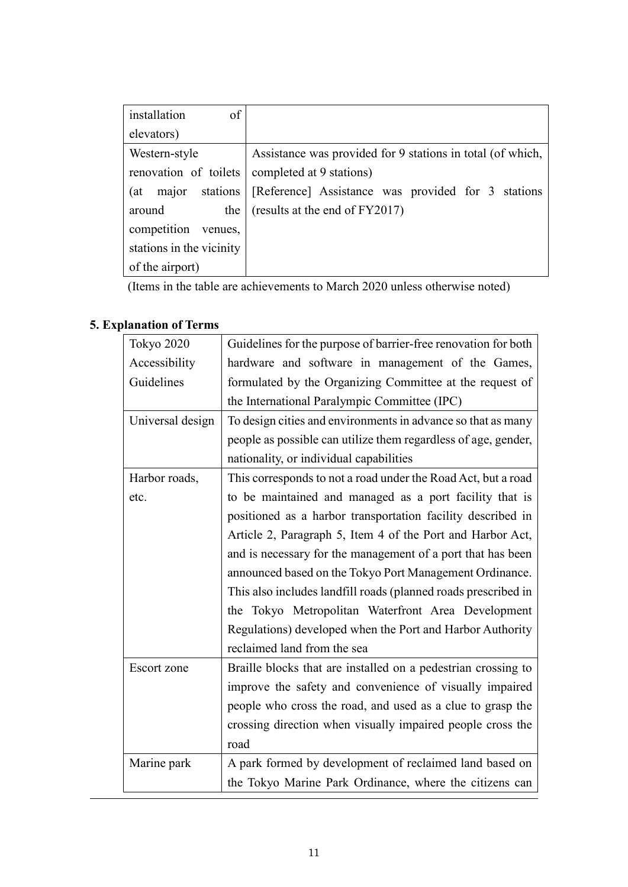| of<br>installation       |                                                            |
|--------------------------|------------------------------------------------------------|
| elevators)               |                                                            |
| Western-style            | Assistance was provided for 9 stations in total (of which, |
| renovation of toilets    | completed at 9 stations)                                   |
| stations<br>(at<br>major | [Reference] Assistance was provided for 3 stations         |
| around<br>the            | (results at the end of FY2017)                             |
| competition<br>venues,   |                                                            |
| stations in the vicinity |                                                            |
| of the airport)          |                                                            |

(Items in the table are achievements to March 2020 unless otherwise noted)

| Tokyo 2020       | Guidelines for the purpose of barrier-free renovation for both |
|------------------|----------------------------------------------------------------|
| Accessibility    | hardware and software in management of the Games,              |
| Guidelines       | formulated by the Organizing Committee at the request of       |
|                  | the International Paralympic Committee (IPC)                   |
| Universal design | To design cities and environments in advance so that as many   |
|                  | people as possible can utilize them regardless of age, gender, |
|                  | nationality, or individual capabilities                        |
| Harbor roads,    | This corresponds to not a road under the Road Act, but a road  |
| etc.             | to be maintained and managed as a port facility that is        |
|                  | positioned as a harbor transportation facility described in    |
|                  | Article 2, Paragraph 5, Item 4 of the Port and Harbor Act,     |
|                  | and is necessary for the management of a port that has been    |
|                  | announced based on the Tokyo Port Management Ordinance.        |
|                  | This also includes landfill roads (planned roads prescribed in |
|                  | the Tokyo Metropolitan Waterfront Area Development             |
|                  | Regulations) developed when the Port and Harbor Authority      |
|                  | reclaimed land from the sea                                    |
| Escort zone      | Braille blocks that are installed on a pedestrian crossing to  |
|                  | improve the safety and convenience of visually impaired        |
|                  | people who cross the road, and used as a clue to grasp the     |
|                  | crossing direction when visually impaired people cross the     |
|                  | road                                                           |
| Marine park      | A park formed by development of reclaimed land based on        |
|                  | the Tokyo Marine Park Ordinance, where the citizens can        |

# **5. Explanation of Terms**